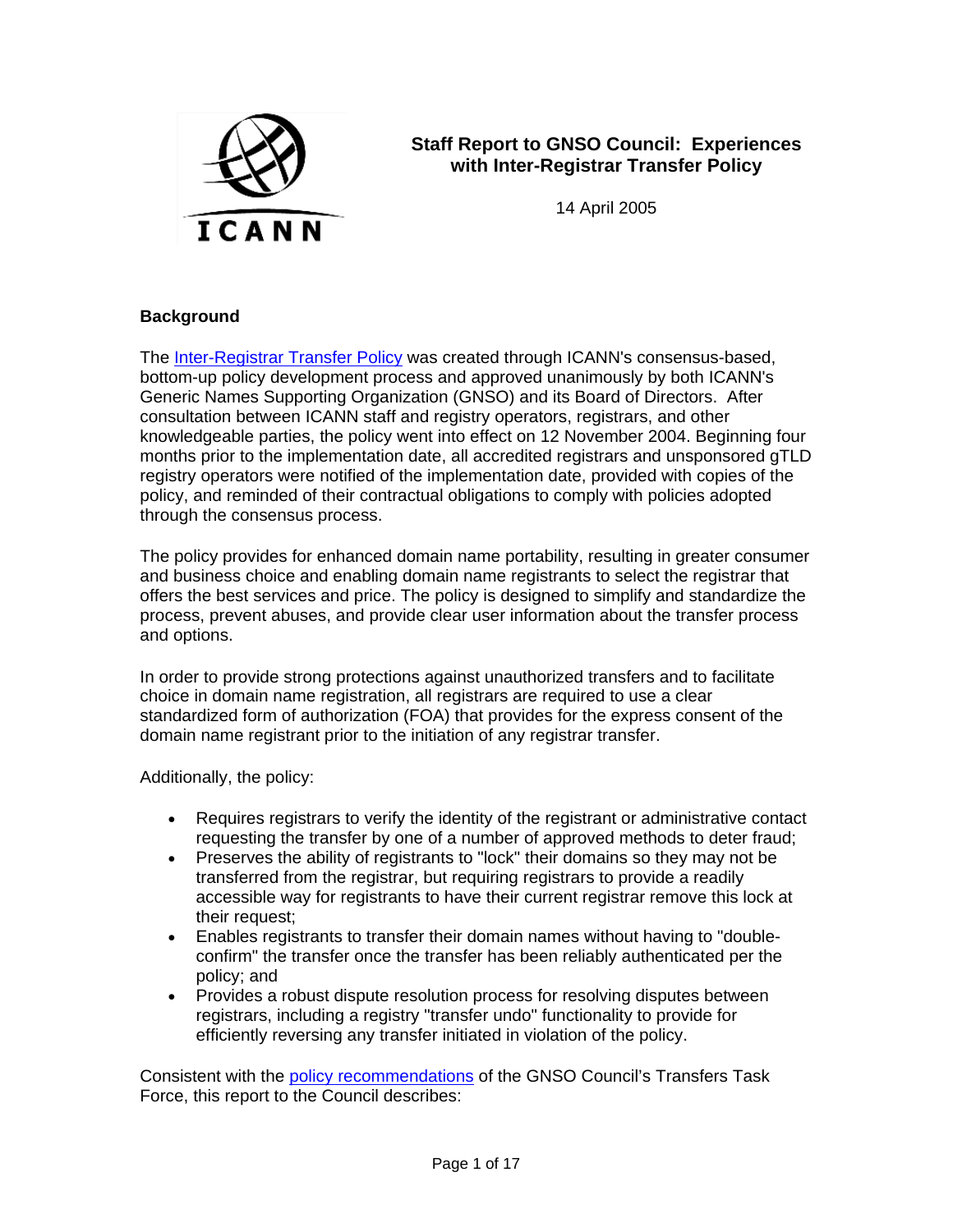

# **Staff Report to GNSO Council: Experiences with Inter-Registrar Transfer Policy**

14 April 2005

### **Background**

The Inter-Registrar Transfer Policy was created through ICANN's consensus-based, bottom-up policy development process and approved unanimously by both ICANN's Generic Names Supporting Organization (GNSO) and its Board of Directors. After consultation between ICANN staff and registry operators, registrars, and other knowledgeable parties, the policy went into effect on 12 November 2004. Beginning four months prior to the implementation date, all accredited registrars and unsponsored gTLD registry operators were notified of the implementation date, provided with copies of the policy, and reminded of their contractual obligations to comply with policies adopted through the consensus process.

The policy provides for enhanced domain name portability, resulting in greater consumer and business choice and enabling domain name registrants to select the registrar that offers the best services and price. The policy is designed to simplify and standardize the process, prevent abuses, and provide clear user information about the transfer process and options.

In order to provide strong protections against unauthorized transfers and to facilitate choice in domain name registration, all registrars are required to use a clear standardized form of authorization (FOA) that provides for the express consent of the domain name registrant prior to the initiation of any registrar transfer.

Additionally, the policy:

- Requires registrars to verify the identity of the registrant or administrative contact requesting the transfer by one of a number of approved methods to deter fraud;
- Preserves the ability of registrants to "lock" their domains so they may not be transferred from the registrar, but requiring registrars to provide a readily accessible way for registrants to have their current registrar remove this lock at their request;
- Enables registrants to transfer their domain names without having to "doubleconfirm" the transfer once the transfer has been reliably authenticated per the policy; and
- Provides a robust dispute resolution process for resolving disputes between registrars, including a registry "transfer undo" functionality to provide for efficiently reversing any transfer initiated in violation of the policy.

Consistent with the policy recommendations of the GNSO Council's Transfers Task Force, this report to the Council describes: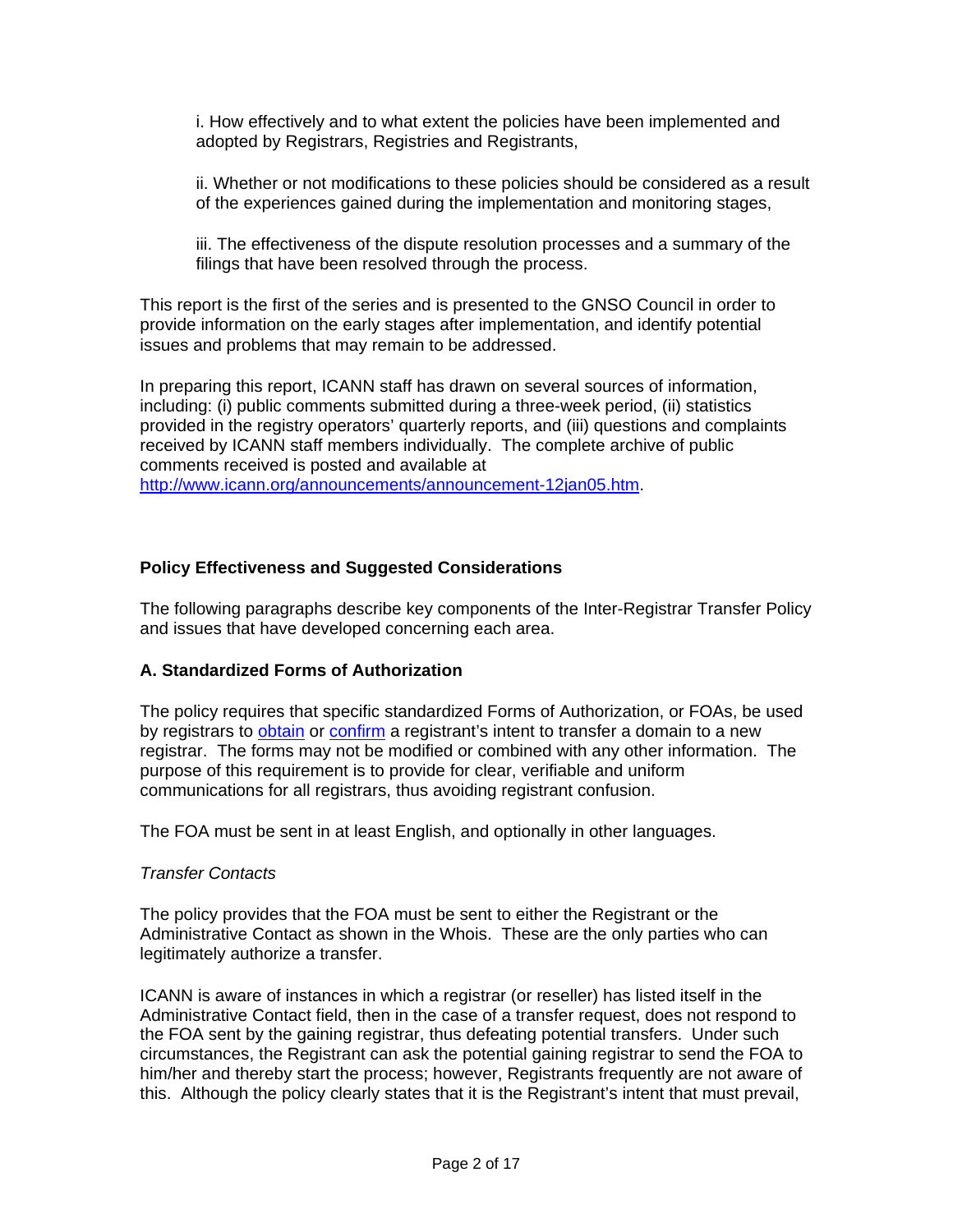i. How effectively and to what extent the policies have been implemented and adopted by Registrars, Registries and Registrants,

ii. Whether or not modifications to these policies should be considered as a result of the experiences gained during the implementation and monitoring stages,

iii. The effectiveness of the dispute resolution processes and a summary of the filings that have been resolved through the process.

This report is the first of the series and is presented to the GNSO Council in order to provide information on the early stages after implementation, and identify potential issues and problems that may remain to be addressed.

In preparing this report, ICANN staff has drawn on several sources of information, including: (i) public comments submitted during a three-week period, (ii) statistics provided in the registry operators' quarterly reports, and (iii) questions and complaints received by ICANN staff members individually. The complete archive of public comments received is posted and available at http://www.icann.org/announcements/announcement-12jan05.htm.

### **Policy Effectiveness and Suggested Considerations**

The following paragraphs describe key components of the Inter-Registrar Transfer Policy and issues that have developed concerning each area.

### **A. Standardized Forms of Authorization**

The policy requires that specific standardized Forms of Authorization, or FOAs, be used by registrars to obtain or confirm a registrant's intent to transfer a domain to a new registrar. The forms may not be modified or combined with any other information. The purpose of this requirement is to provide for clear, verifiable and uniform communications for all registrars, thus avoiding registrant confusion.

The FOA must be sent in at least English, and optionally in other languages.

#### *Transfer Contacts*

The policy provides that the FOA must be sent to either the Registrant or the Administrative Contact as shown in the Whois. These are the only parties who can legitimately authorize a transfer.

ICANN is aware of instances in which a registrar (or reseller) has listed itself in the Administrative Contact field, then in the case of a transfer request, does not respond to the FOA sent by the gaining registrar, thus defeating potential transfers. Under such circumstances, the Registrant can ask the potential gaining registrar to send the FOA to him/her and thereby start the process; however, Registrants frequently are not aware of this. Although the policy clearly states that it is the Registrant's intent that must prevail,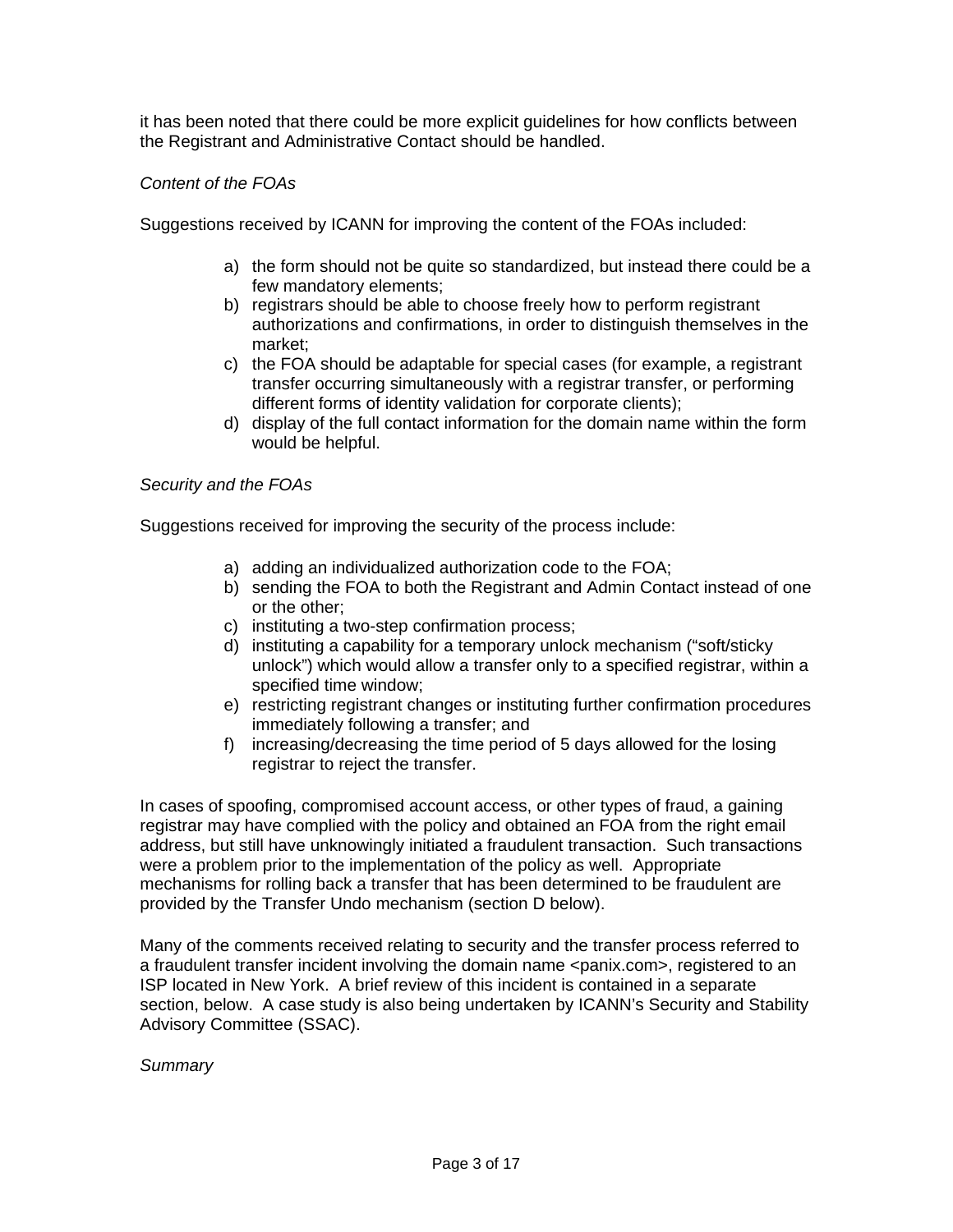it has been noted that there could be more explicit guidelines for how conflicts between the Registrant and Administrative Contact should be handled.

### *Content of the FOAs*

Suggestions received by ICANN for improving the content of the FOAs included:

- a) the form should not be quite so standardized, but instead there could be a few mandatory elements;
- b) registrars should be able to choose freely how to perform registrant authorizations and confirmations, in order to distinguish themselves in the market;
- c) the FOA should be adaptable for special cases (for example, a registrant transfer occurring simultaneously with a registrar transfer, or performing different forms of identity validation for corporate clients);
- d) display of the full contact information for the domain name within the form would be helpful.

### *Security and the FOAs*

Suggestions received for improving the security of the process include:

- a) adding an individualized authorization code to the FOA;
- b) sending the FOA to both the Registrant and Admin Contact instead of one or the other;
- c) instituting a two-step confirmation process;
- d) instituting a capability for a temporary unlock mechanism ("soft/sticky unlock") which would allow a transfer only to a specified registrar, within a specified time window;
- e) restricting registrant changes or instituting further confirmation procedures immediately following a transfer; and
- f) increasing/decreasing the time period of 5 days allowed for the losing registrar to reject the transfer.

In cases of spoofing, compromised account access, or other types of fraud, a gaining registrar may have complied with the policy and obtained an FOA from the right email address, but still have unknowingly initiated a fraudulent transaction. Such transactions were a problem prior to the implementation of the policy as well. Appropriate mechanisms for rolling back a transfer that has been determined to be fraudulent are provided by the Transfer Undo mechanism (section D below).

Many of the comments received relating to security and the transfer process referred to a fraudulent transfer incident involving the domain name <panix.com>, registered to an ISP located in New York. A brief review of this incident is contained in a separate section, below. A case study is also being undertaken by ICANN's Security and Stability Advisory Committee (SSAC).

### *Summary*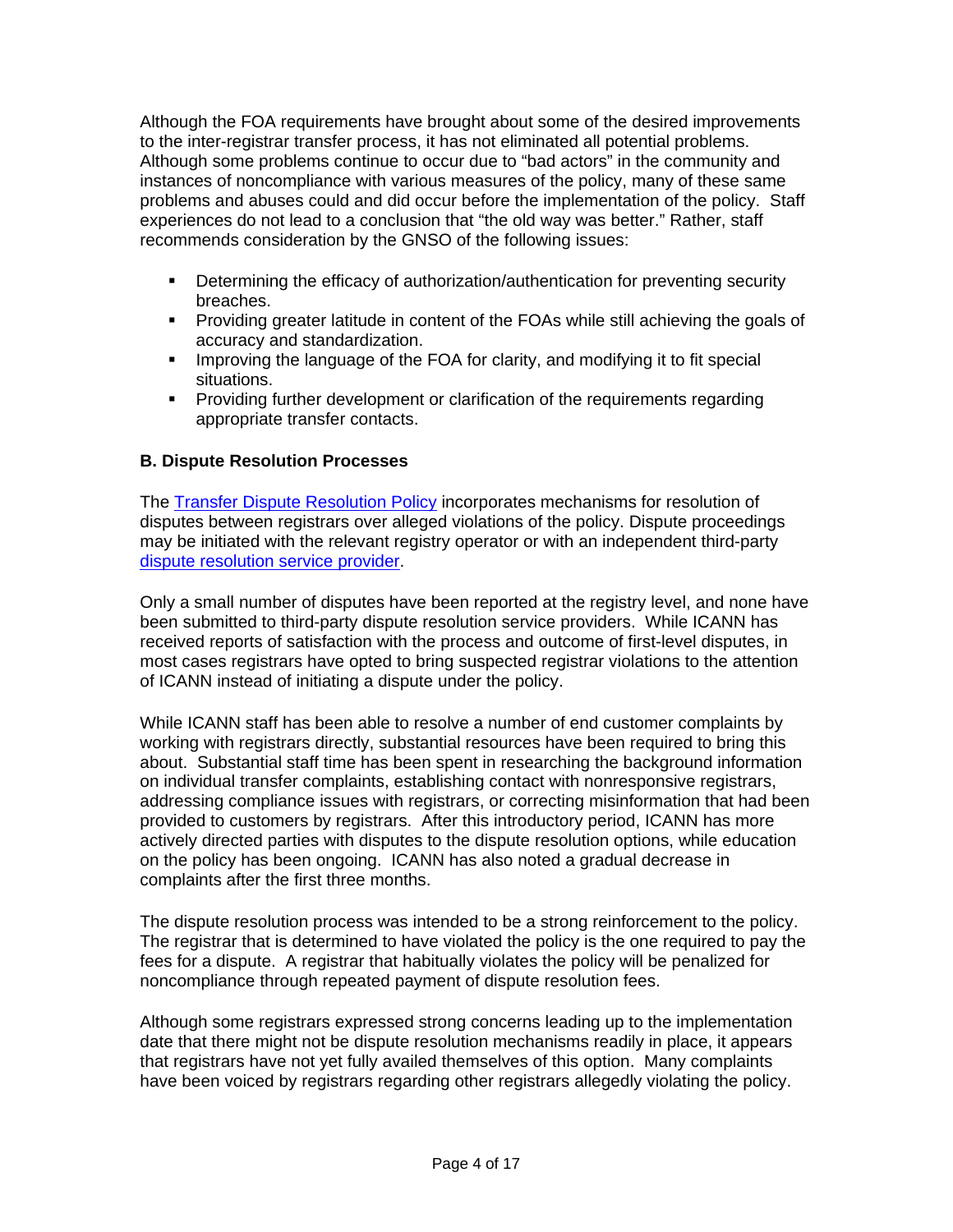Although the FOA requirements have brought about some of the desired improvements to the inter-registrar transfer process, it has not eliminated all potential problems. Although some problems continue to occur due to "bad actors" in the community and instances of noncompliance with various measures of the policy, many of these same problems and abuses could and did occur before the implementation of the policy. Staff experiences do not lead to a conclusion that "the old way was better." Rather, staff recommends consideration by the GNSO of the following issues:

- **•** Determining the efficacy of authorization/authentication for preventing security breaches.
- Providing greater latitude in content of the FOAs while still achieving the goals of accuracy and standardization.
- **IMPROVIGATA** Improving the language of the FOA for clarity, and modifying it to fit special situations.
- **Providing further development or clarification of the requirements regarding** appropriate transfer contacts.

### **B. Dispute Resolution Processes**

The Transfer Dispute Resolution Policy incorporates mechanisms for resolution of disputes between registrars over alleged violations of the policy. Dispute proceedings may be initiated with the relevant registry operator or with an independent third-party dispute resolution service provider.

Only a small number of disputes have been reported at the registry level, and none have been submitted to third-party dispute resolution service providers. While ICANN has received reports of satisfaction with the process and outcome of first-level disputes, in most cases registrars have opted to bring suspected registrar violations to the attention of ICANN instead of initiating a dispute under the policy.

While ICANN staff has been able to resolve a number of end customer complaints by working with registrars directly, substantial resources have been required to bring this about. Substantial staff time has been spent in researching the background information on individual transfer complaints, establishing contact with nonresponsive registrars, addressing compliance issues with registrars, or correcting misinformation that had been provided to customers by registrars. After this introductory period, ICANN has more actively directed parties with disputes to the dispute resolution options, while education on the policy has been ongoing. ICANN has also noted a gradual decrease in complaints after the first three months.

The dispute resolution process was intended to be a strong reinforcement to the policy. The registrar that is determined to have violated the policy is the one required to pay the fees for a dispute. A registrar that habitually violates the policy will be penalized for noncompliance through repeated payment of dispute resolution fees.

Although some registrars expressed strong concerns leading up to the implementation date that there might not be dispute resolution mechanisms readily in place, it appears that registrars have not yet fully availed themselves of this option. Many complaints have been voiced by registrars regarding other registrars allegedly violating the policy.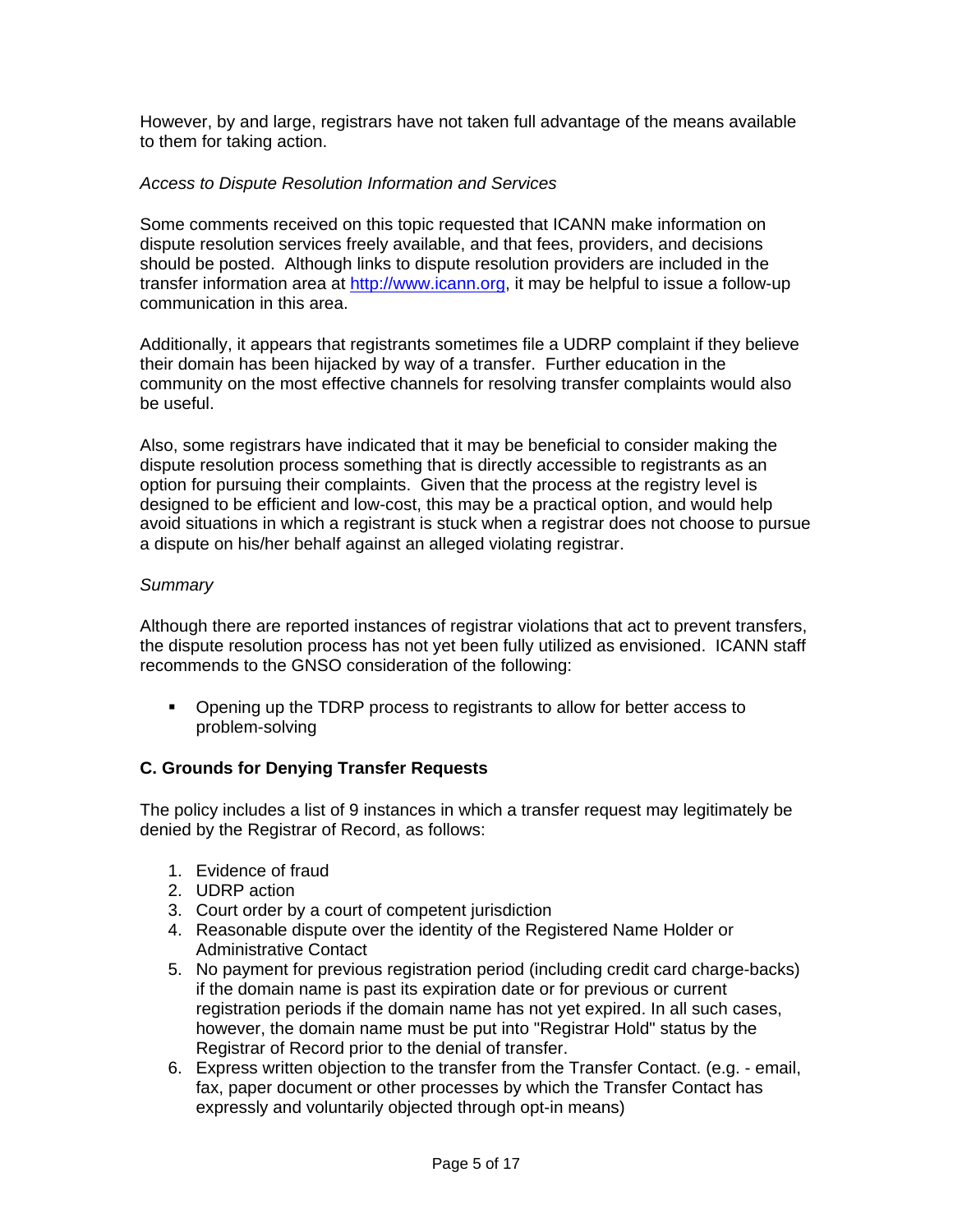However, by and large, registrars have not taken full advantage of the means available to them for taking action.

### *Access to Dispute Resolution Information and Services*

Some comments received on this topic requested that ICANN make information on dispute resolution services freely available, and that fees, providers, and decisions should be posted. Although links to dispute resolution providers are included in the transfer information area at http://www.icann.org, it may be helpful to issue a follow-up communication in this area.

Additionally, it appears that registrants sometimes file a UDRP complaint if they believe their domain has been hijacked by way of a transfer. Further education in the community on the most effective channels for resolving transfer complaints would also be useful.

Also, some registrars have indicated that it may be beneficial to consider making the dispute resolution process something that is directly accessible to registrants as an option for pursuing their complaints. Given that the process at the registry level is designed to be efficient and low-cost, this may be a practical option, and would help avoid situations in which a registrant is stuck when a registrar does not choose to pursue a dispute on his/her behalf against an alleged violating registrar.

### *Summary*

Although there are reported instances of registrar violations that act to prevent transfers, the dispute resolution process has not yet been fully utilized as envisioned. ICANN staff recommends to the GNSO consideration of the following:

**•** Opening up the TDRP process to registrants to allow for better access to problem-solving

### **C. Grounds for Denying Transfer Requests**

The policy includes a list of 9 instances in which a transfer request may legitimately be denied by the Registrar of Record, as follows:

- 1. Evidence of fraud
- 2. UDRP action
- 3. Court order by a court of competent jurisdiction
- 4. Reasonable dispute over the identity of the Registered Name Holder or Administrative Contact
- 5. No payment for previous registration period (including credit card charge-backs) if the domain name is past its expiration date or for previous or current registration periods if the domain name has not yet expired. In all such cases, however, the domain name must be put into "Registrar Hold" status by the Registrar of Record prior to the denial of transfer.
- 6. Express written objection to the transfer from the Transfer Contact. (e.g. email, fax, paper document or other processes by which the Transfer Contact has expressly and voluntarily objected through opt-in means)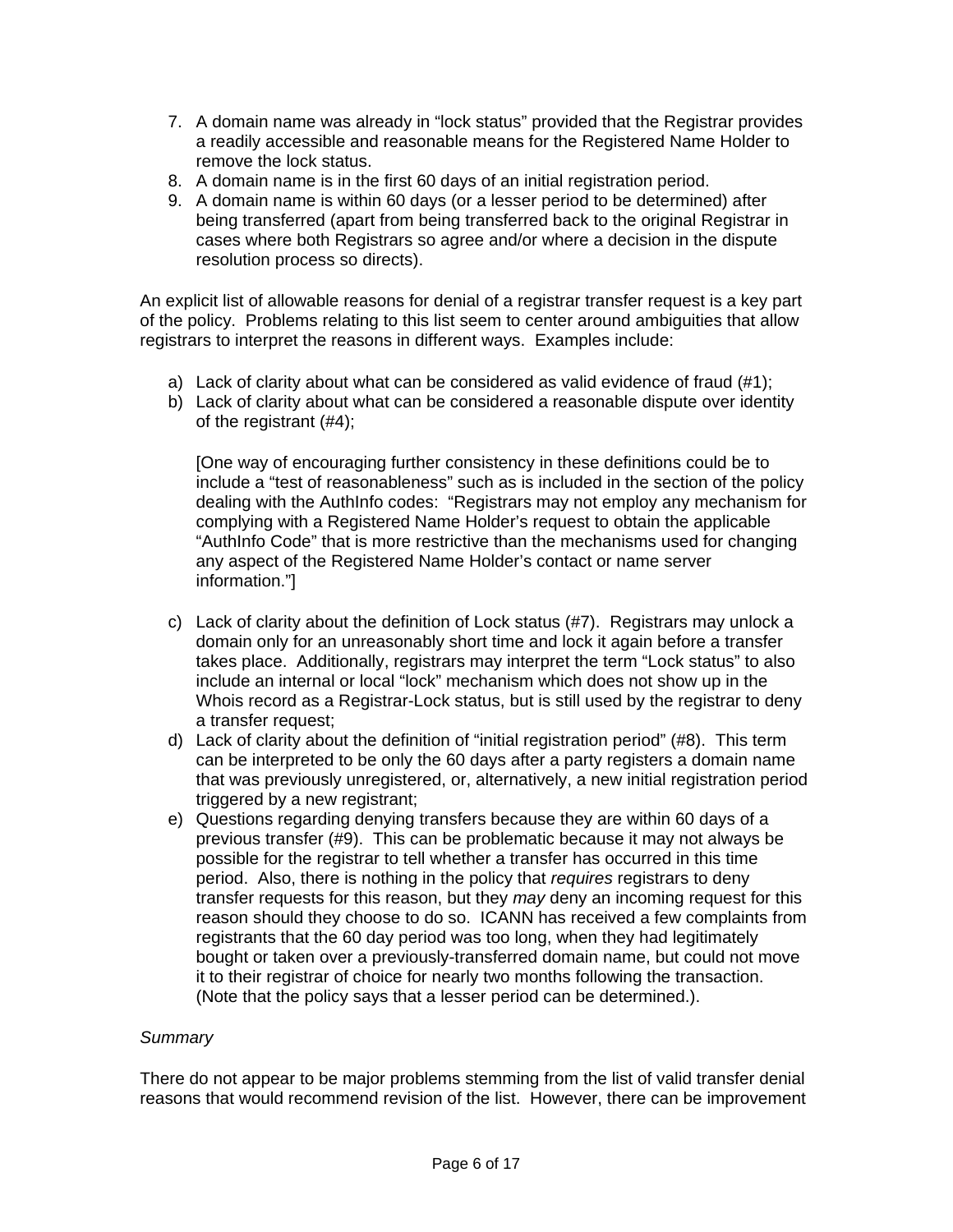- 7. A domain name was already in "lock status" provided that the Registrar provides a readily accessible and reasonable means for the Registered Name Holder to remove the lock status.
- 8. A domain name is in the first 60 days of an initial registration period.
- 9. A domain name is within 60 days (or a lesser period to be determined) after being transferred (apart from being transferred back to the original Registrar in cases where both Registrars so agree and/or where a decision in the dispute resolution process so directs).

An explicit list of allowable reasons for denial of a registrar transfer request is a key part of the policy. Problems relating to this list seem to center around ambiguities that allow registrars to interpret the reasons in different ways. Examples include:

- a) Lack of clarity about what can be considered as valid evidence of fraud (#1);
- b) Lack of clarity about what can be considered a reasonable dispute over identity of the registrant (#4);

[One way of encouraging further consistency in these definitions could be to include a "test of reasonableness" such as is included in the section of the policy dealing with the AuthInfo codes: "Registrars may not employ any mechanism for complying with a Registered Name Holder's request to obtain the applicable "AuthInfo Code" that is more restrictive than the mechanisms used for changing any aspect of the Registered Name Holder's contact or name server information."]

- c) Lack of clarity about the definition of Lock status (#7). Registrars may unlock a domain only for an unreasonably short time and lock it again before a transfer takes place. Additionally, registrars may interpret the term "Lock status" to also include an internal or local "lock" mechanism which does not show up in the Whois record as a Registrar-Lock status, but is still used by the registrar to deny a transfer request;
- d) Lack of clarity about the definition of "initial registration period" (#8). This term can be interpreted to be only the 60 days after a party registers a domain name that was previously unregistered, or, alternatively, a new initial registration period triggered by a new registrant;
- e) Questions regarding denying transfers because they are within 60 days of a previous transfer (#9). This can be problematic because it may not always be possible for the registrar to tell whether a transfer has occurred in this time period. Also, there is nothing in the policy that *requires* registrars to deny transfer requests for this reason, but they *may* deny an incoming request for this reason should they choose to do so. ICANN has received a few complaints from registrants that the 60 day period was too long, when they had legitimately bought or taken over a previously-transferred domain name, but could not move it to their registrar of choice for nearly two months following the transaction. (Note that the policy says that a lesser period can be determined.).

### *Summary*

There do not appear to be major problems stemming from the list of valid transfer denial reasons that would recommend revision of the list. However, there can be improvement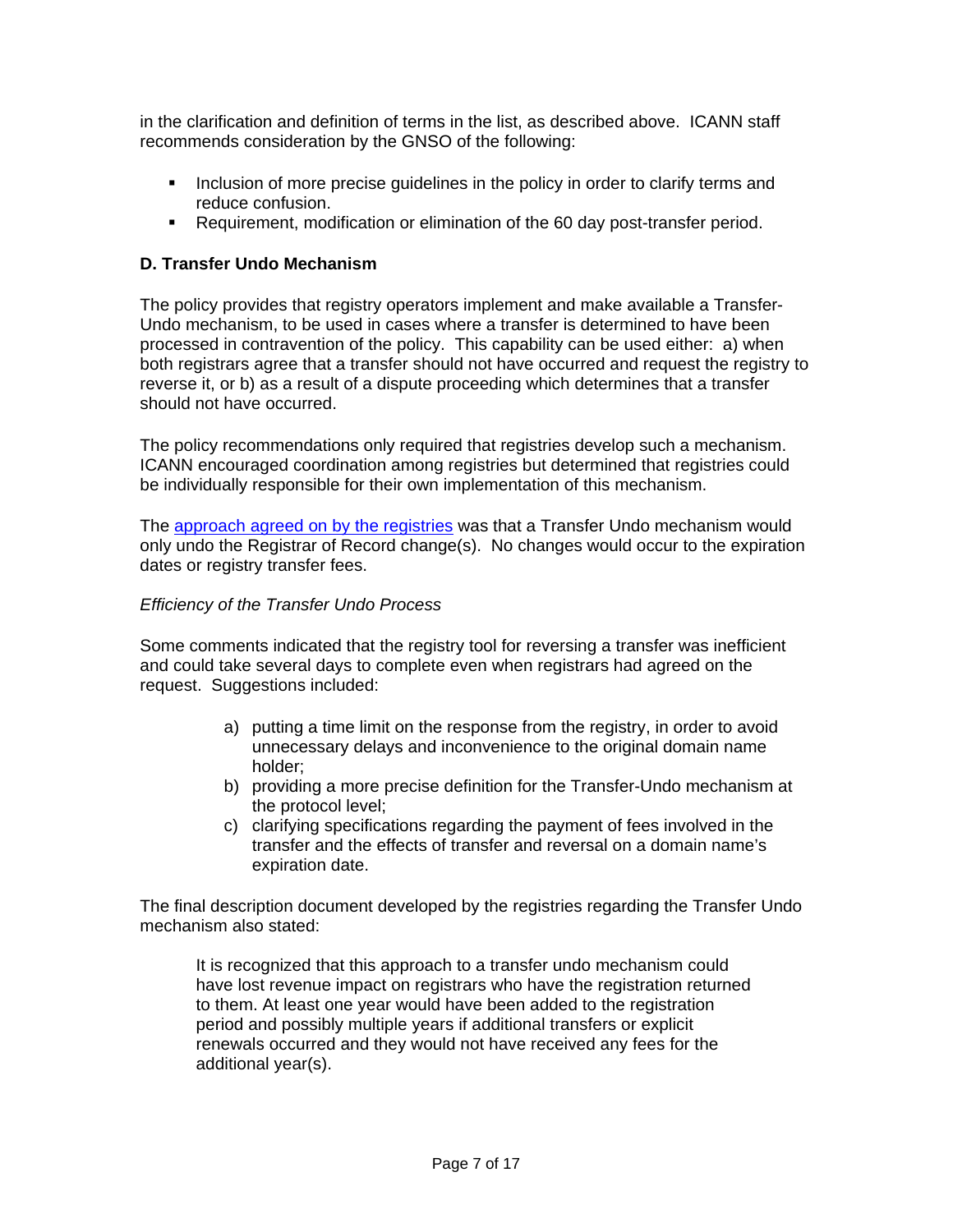in the clarification and definition of terms in the list, as described above. ICANN staff recommends consideration by the GNSO of the following:

- Inclusion of more precise guidelines in the policy in order to clarify terms and reduce confusion.
- Requirement, modification or elimination of the 60 day post-transfer period.

### **D. Transfer Undo Mechanism**

The policy provides that registry operators implement and make available a Transfer-Undo mechanism, to be used in cases where a transfer is determined to have been processed in contravention of the policy. This capability can be used either: a) when both registrars agree that a transfer should not have occurred and request the registry to reverse it, or b) as a result of a dispute proceeding which determines that a transfer should not have occurred.

The policy recommendations only required that registries develop such a mechanism. ICANN encouraged coordination among registries but determined that registries could be individually responsible for their own implementation of this mechanism.

The approach agreed on by the registries was that a Transfer Undo mechanism would only undo the Registrar of Record change(s). No changes would occur to the expiration dates or registry transfer fees.

### *Efficiency of the Transfer Undo Process*

Some comments indicated that the registry tool for reversing a transfer was inefficient and could take several days to complete even when registrars had agreed on the request. Suggestions included:

- a) putting a time limit on the response from the registry, in order to avoid unnecessary delays and inconvenience to the original domain name holder;
- b) providing a more precise definition for the Transfer-Undo mechanism at the protocol level;
- c) clarifying specifications regarding the payment of fees involved in the transfer and the effects of transfer and reversal on a domain name's expiration date.

The final description document developed by the registries regarding the Transfer Undo mechanism also stated:

It is recognized that this approach to a transfer undo mechanism could have lost revenue impact on registrars who have the registration returned to them. At least one year would have been added to the registration period and possibly multiple years if additional transfers or explicit renewals occurred and they would not have received any fees for the additional year(s).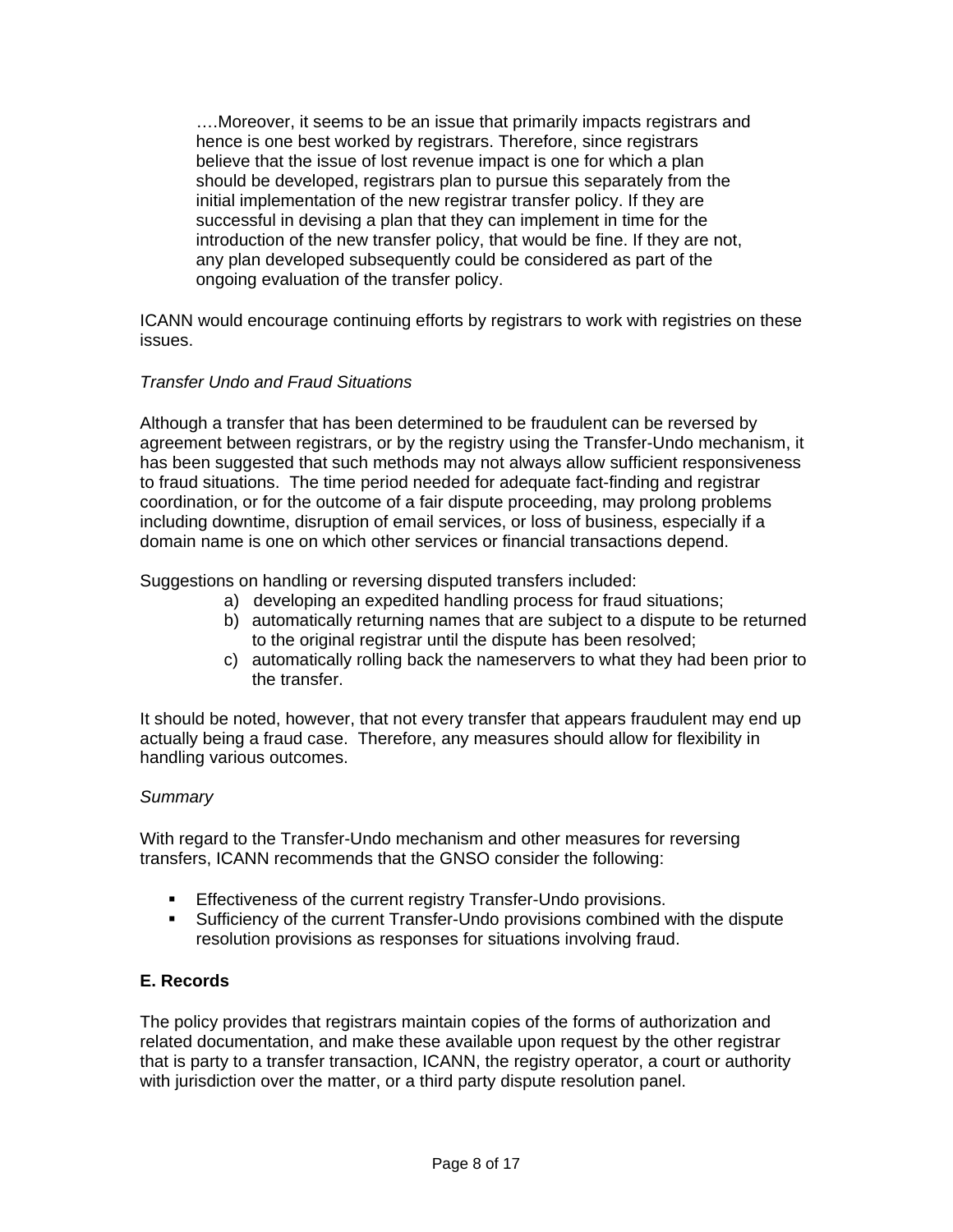….Moreover, it seems to be an issue that primarily impacts registrars and hence is one best worked by registrars. Therefore, since registrars believe that the issue of lost revenue impact is one for which a plan should be developed, registrars plan to pursue this separately from the initial implementation of the new registrar transfer policy. If they are successful in devising a plan that they can implement in time for the introduction of the new transfer policy, that would be fine. If they are not, any plan developed subsequently could be considered as part of the ongoing evaluation of the transfer policy.

ICANN would encourage continuing efforts by registrars to work with registries on these issues.

### *Transfer Undo and Fraud Situations*

Although a transfer that has been determined to be fraudulent can be reversed by agreement between registrars, or by the registry using the Transfer-Undo mechanism, it has been suggested that such methods may not always allow sufficient responsiveness to fraud situations. The time period needed for adequate fact-finding and registrar coordination, or for the outcome of a fair dispute proceeding, may prolong problems including downtime, disruption of email services, or loss of business, especially if a domain name is one on which other services or financial transactions depend.

Suggestions on handling or reversing disputed transfers included:

- a) developing an expedited handling process for fraud situations;
- b) automatically returning names that are subject to a dispute to be returned to the original registrar until the dispute has been resolved;
- c) automatically rolling back the nameservers to what they had been prior to the transfer.

It should be noted, however, that not every transfer that appears fraudulent may end up actually being a fraud case. Therefore, any measures should allow for flexibility in handling various outcomes.

### *Summary*

With regard to the Transfer-Undo mechanism and other measures for reversing transfers, ICANN recommends that the GNSO consider the following:

- **Effectiveness of the current registry Transfer-Undo provisions.**
- Sufficiency of the current Transfer-Undo provisions combined with the dispute resolution provisions as responses for situations involving fraud.

### **E. Records**

The policy provides that registrars maintain copies of the forms of authorization and related documentation, and make these available upon request by the other registrar that is party to a transfer transaction, ICANN, the registry operator, a court or authority with jurisdiction over the matter, or a third party dispute resolution panel.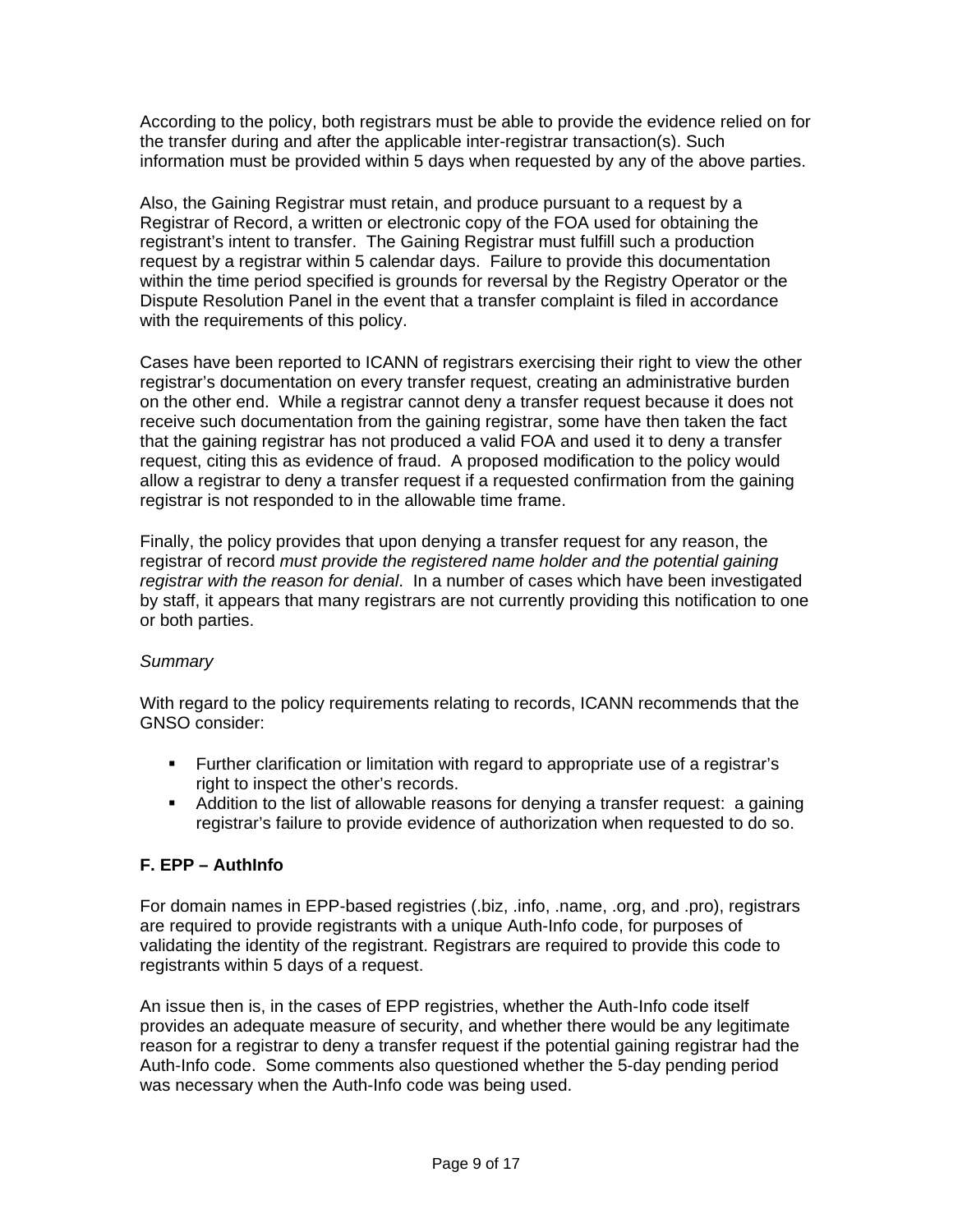According to the policy, both registrars must be able to provide the evidence relied on for the transfer during and after the applicable inter-registrar transaction(s). Such information must be provided within 5 days when requested by any of the above parties.

Also, the Gaining Registrar must retain, and produce pursuant to a request by a Registrar of Record, a written or electronic copy of the FOA used for obtaining the registrant's intent to transfer. The Gaining Registrar must fulfill such a production request by a registrar within 5 calendar days. Failure to provide this documentation within the time period specified is grounds for reversal by the Registry Operator or the Dispute Resolution Panel in the event that a transfer complaint is filed in accordance with the requirements of this policy.

Cases have been reported to ICANN of registrars exercising their right to view the other registrar's documentation on every transfer request, creating an administrative burden on the other end. While a registrar cannot deny a transfer request because it does not receive such documentation from the gaining registrar, some have then taken the fact that the gaining registrar has not produced a valid FOA and used it to deny a transfer request, citing this as evidence of fraud. A proposed modification to the policy would allow a registrar to deny a transfer request if a requested confirmation from the gaining registrar is not responded to in the allowable time frame.

Finally, the policy provides that upon denying a transfer request for any reason, the registrar of record *must provide the registered name holder and the potential gaining registrar with the reason for denial*. In a number of cases which have been investigated by staff, it appears that many registrars are not currently providing this notification to one or both parties.

### *Summary*

With regard to the policy requirements relating to records, ICANN recommends that the GNSO consider:

- Further clarification or limitation with regard to appropriate use of a registrar's right to inspect the other's records.
- Addition to the list of allowable reasons for denying a transfer request: a gaining registrar's failure to provide evidence of authorization when requested to do so.

## **F. EPP – AuthInfo**

For domain names in EPP-based registries (.biz, .info, .name, .org, and .pro), registrars are required to provide registrants with a unique Auth-Info code, for purposes of validating the identity of the registrant. Registrars are required to provide this code to registrants within 5 days of a request.

An issue then is, in the cases of EPP registries, whether the Auth-Info code itself provides an adequate measure of security, and whether there would be any legitimate reason for a registrar to deny a transfer request if the potential gaining registrar had the Auth-Info code. Some comments also questioned whether the 5-day pending period was necessary when the Auth-Info code was being used.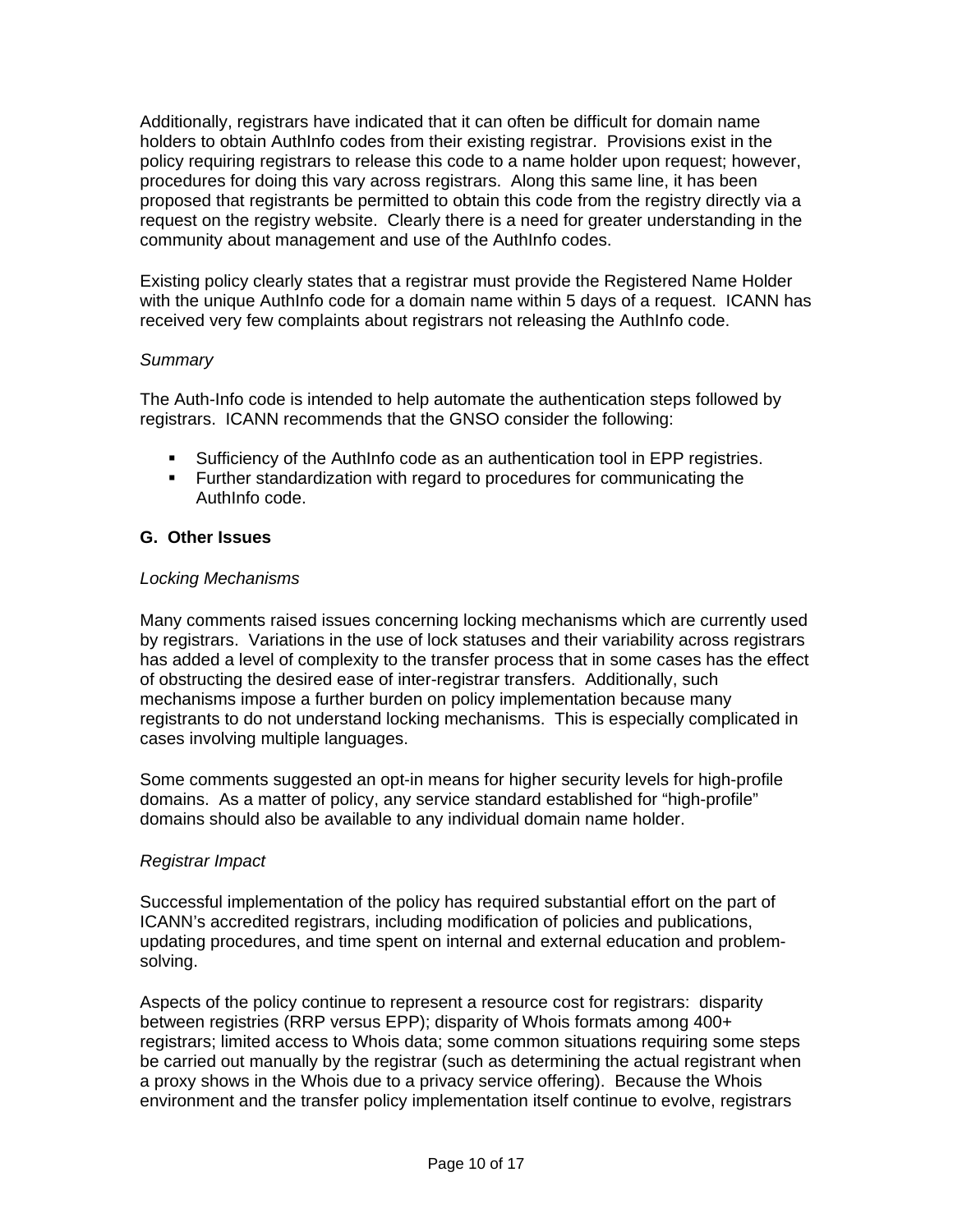Additionally, registrars have indicated that it can often be difficult for domain name holders to obtain AuthInfo codes from their existing registrar. Provisions exist in the policy requiring registrars to release this code to a name holder upon request; however, procedures for doing this vary across registrars. Along this same line, it has been proposed that registrants be permitted to obtain this code from the registry directly via a request on the registry website. Clearly there is a need for greater understanding in the community about management and use of the AuthInfo codes.

Existing policy clearly states that a registrar must provide the Registered Name Holder with the unique AuthInfo code for a domain name within 5 days of a request. ICANN has received very few complaints about registrars not releasing the AuthInfo code.

### *Summary*

The Auth-Info code is intended to help automate the authentication steps followed by registrars. ICANN recommends that the GNSO consider the following:

- Sufficiency of the AuthInfo code as an authentication tool in EPP registries.
- **Further standardization with regard to procedures for communicating the** AuthInfo code.

### **G. Other Issues**

#### *Locking Mechanisms*

Many comments raised issues concerning locking mechanisms which are currently used by registrars. Variations in the use of lock statuses and their variability across registrars has added a level of complexity to the transfer process that in some cases has the effect of obstructing the desired ease of inter-registrar transfers. Additionally, such mechanisms impose a further burden on policy implementation because many registrants to do not understand locking mechanisms. This is especially complicated in cases involving multiple languages.

Some comments suggested an opt-in means for higher security levels for high-profile domains. As a matter of policy, any service standard established for "high-profile" domains should also be available to any individual domain name holder.

#### *Registrar Impact*

Successful implementation of the policy has required substantial effort on the part of ICANN's accredited registrars, including modification of policies and publications, updating procedures, and time spent on internal and external education and problemsolving.

Aspects of the policy continue to represent a resource cost for registrars: disparity between registries (RRP versus EPP); disparity of Whois formats among 400+ registrars; limited access to Whois data; some common situations requiring some steps be carried out manually by the registrar (such as determining the actual registrant when a proxy shows in the Whois due to a privacy service offering). Because the Whois environment and the transfer policy implementation itself continue to evolve, registrars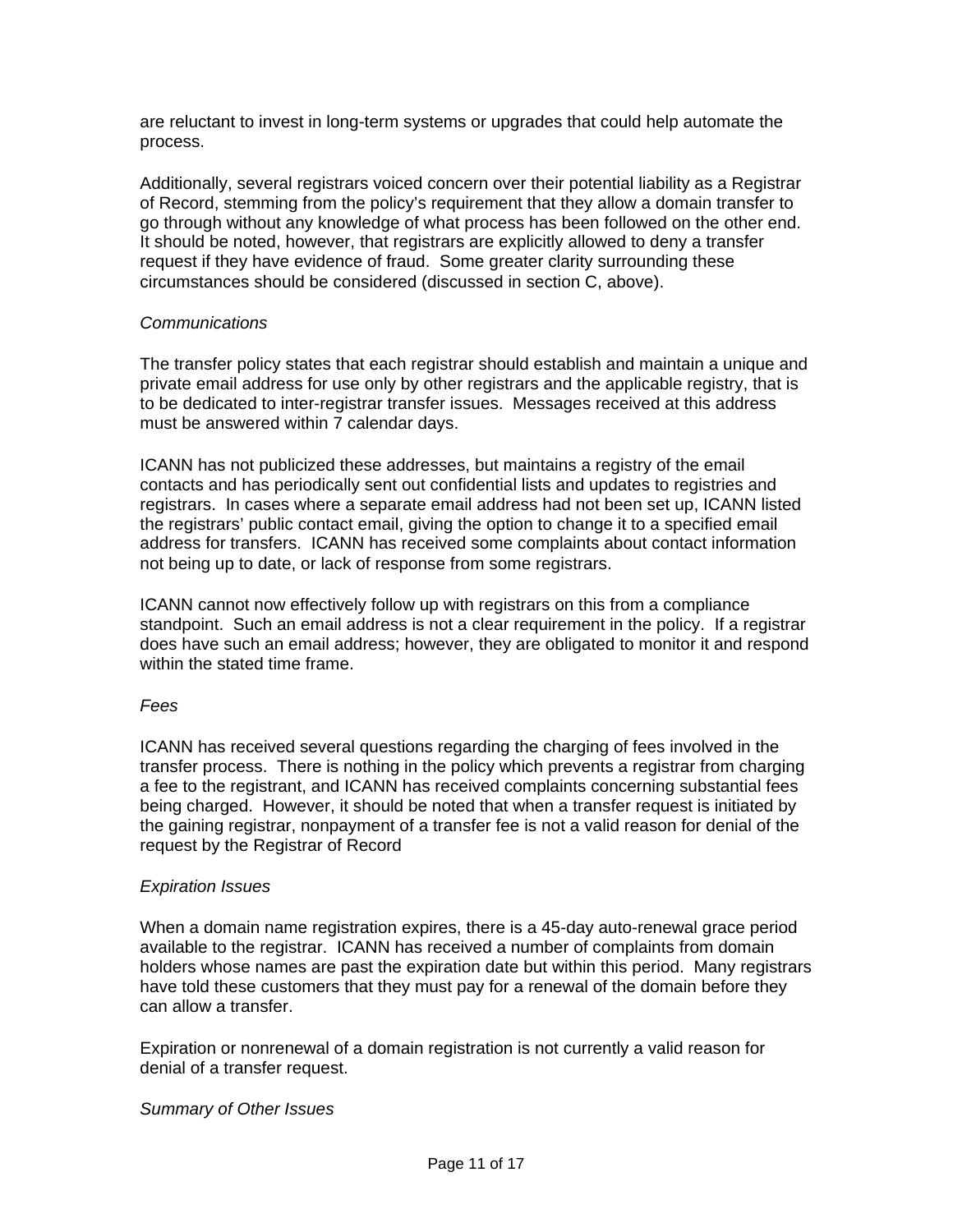are reluctant to invest in long-term systems or upgrades that could help automate the process.

Additionally, several registrars voiced concern over their potential liability as a Registrar of Record, stemming from the policy's requirement that they allow a domain transfer to go through without any knowledge of what process has been followed on the other end. It should be noted, however, that registrars are explicitly allowed to deny a transfer request if they have evidence of fraud. Some greater clarity surrounding these circumstances should be considered (discussed in section C, above).

#### *Communications*

The transfer policy states that each registrar should establish and maintain a unique and private email address for use only by other registrars and the applicable registry, that is to be dedicated to inter-registrar transfer issues. Messages received at this address must be answered within 7 calendar days.

ICANN has not publicized these addresses, but maintains a registry of the email contacts and has periodically sent out confidential lists and updates to registries and registrars. In cases where a separate email address had not been set up, ICANN listed the registrars' public contact email, giving the option to change it to a specified email address for transfers. ICANN has received some complaints about contact information not being up to date, or lack of response from some registrars.

ICANN cannot now effectively follow up with registrars on this from a compliance standpoint. Such an email address is not a clear requirement in the policy. If a registrar does have such an email address; however, they are obligated to monitor it and respond within the stated time frame.

#### *Fees*

ICANN has received several questions regarding the charging of fees involved in the transfer process. There is nothing in the policy which prevents a registrar from charging a fee to the registrant, and ICANN has received complaints concerning substantial fees being charged. However, it should be noted that when a transfer request is initiated by the gaining registrar, nonpayment of a transfer fee is not a valid reason for denial of the request by the Registrar of Record

#### *Expiration Issues*

When a domain name registration expires, there is a 45-day auto-renewal grace period available to the registrar. ICANN has received a number of complaints from domain holders whose names are past the expiration date but within this period. Many registrars have told these customers that they must pay for a renewal of the domain before they can allow a transfer.

Expiration or nonrenewal of a domain registration is not currently a valid reason for denial of a transfer request.

#### *Summary of Other Issues*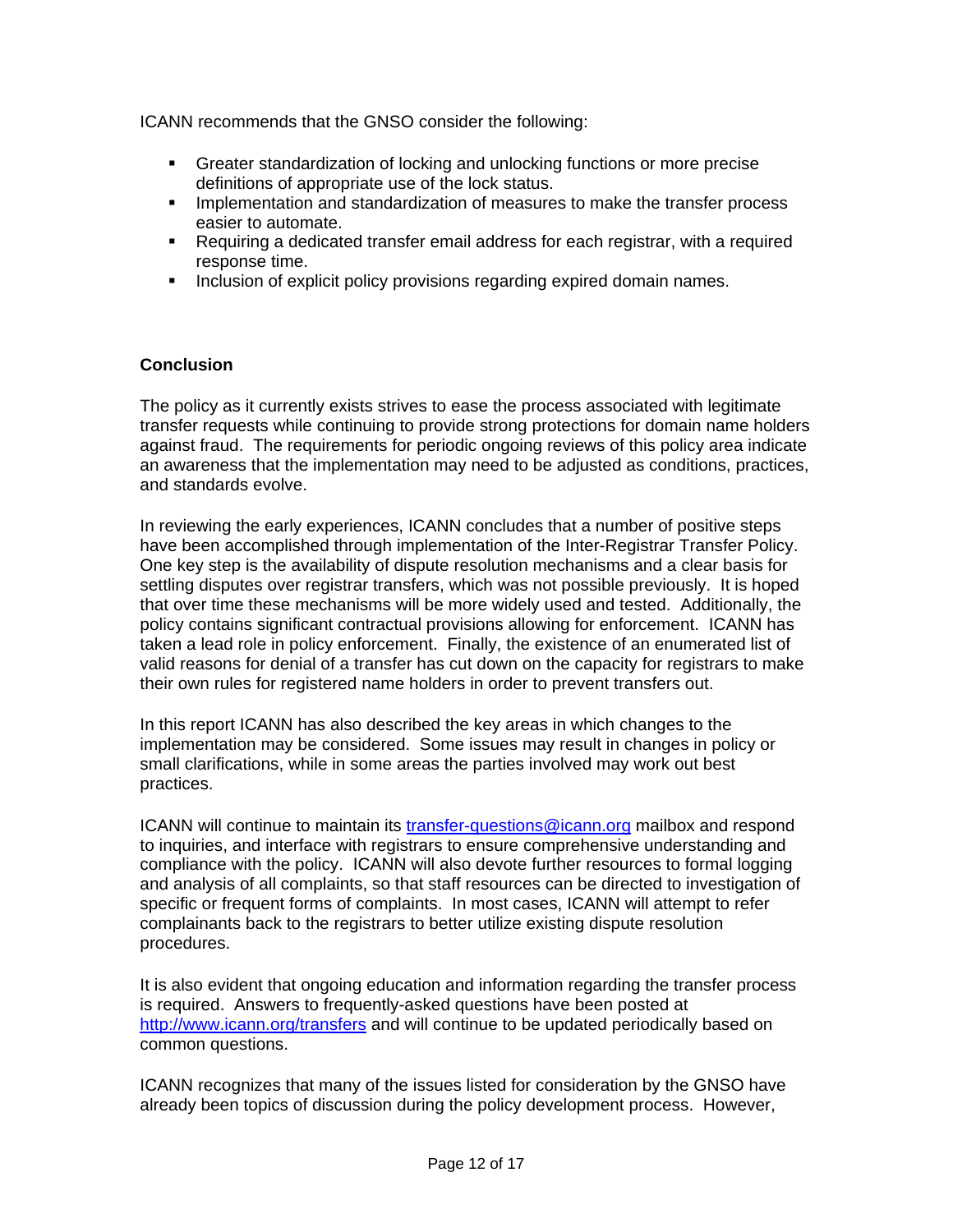ICANN recommends that the GNSO consider the following:

- Greater standardization of locking and unlocking functions or more precise definitions of appropriate use of the lock status.
- **IMPLEM** Implementation and standardization of measures to make the transfer process easier to automate.
- Requiring a dedicated transfer email address for each registrar, with a required response time.
- **Inclusion of explicit policy provisions regarding expired domain names.**

### **Conclusion**

The policy as it currently exists strives to ease the process associated with legitimate transfer requests while continuing to provide strong protections for domain name holders against fraud. The requirements for periodic ongoing reviews of this policy area indicate an awareness that the implementation may need to be adjusted as conditions, practices, and standards evolve.

In reviewing the early experiences, ICANN concludes that a number of positive steps have been accomplished through implementation of the Inter-Registrar Transfer Policy. One key step is the availability of dispute resolution mechanisms and a clear basis for settling disputes over registrar transfers, which was not possible previously. It is hoped that over time these mechanisms will be more widely used and tested. Additionally, the policy contains significant contractual provisions allowing for enforcement. ICANN has taken a lead role in policy enforcement. Finally, the existence of an enumerated list of valid reasons for denial of a transfer has cut down on the capacity for registrars to make their own rules for registered name holders in order to prevent transfers out.

In this report ICANN has also described the key areas in which changes to the implementation may be considered. Some issues may result in changes in policy or small clarifications, while in some areas the parties involved may work out best practices.

ICANN will continue to maintain its transfer-questions@icann.org mailbox and respond to inquiries, and interface with registrars to ensure comprehensive understanding and compliance with the policy. ICANN will also devote further resources to formal logging and analysis of all complaints, so that staff resources can be directed to investigation of specific or frequent forms of complaints. In most cases, ICANN will attempt to refer complainants back to the registrars to better utilize existing dispute resolution procedures.

It is also evident that ongoing education and information regarding the transfer process is required. Answers to frequently-asked questions have been posted at http://www.icann.org/transfers and will continue to be updated periodically based on common questions.

ICANN recognizes that many of the issues listed for consideration by the GNSO have already been topics of discussion during the policy development process. However,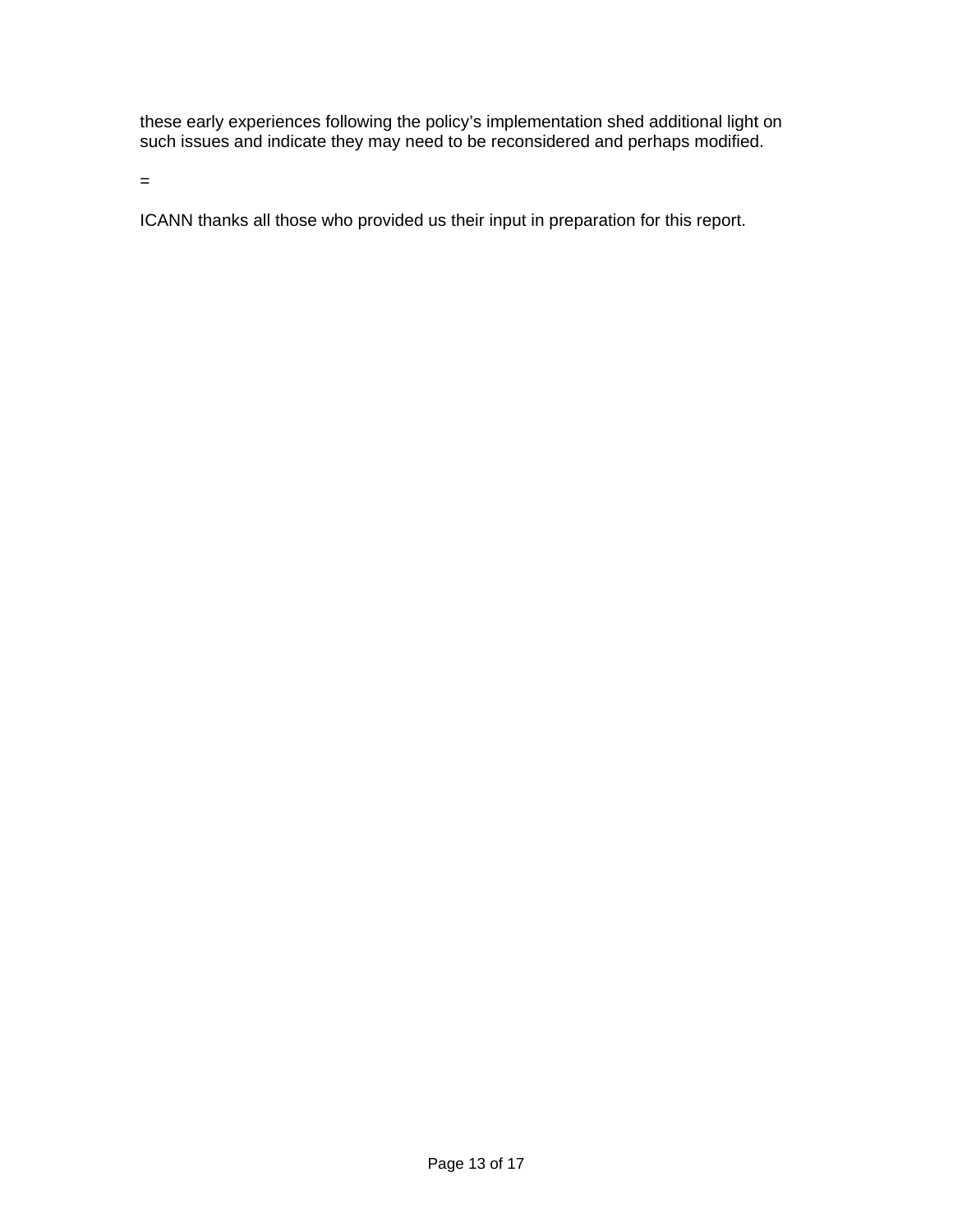these early experiences following the policy's implementation shed additional light on such issues and indicate they may need to be reconsidered and perhaps modified.

=

ICANN thanks all those who provided us their input in preparation for this report.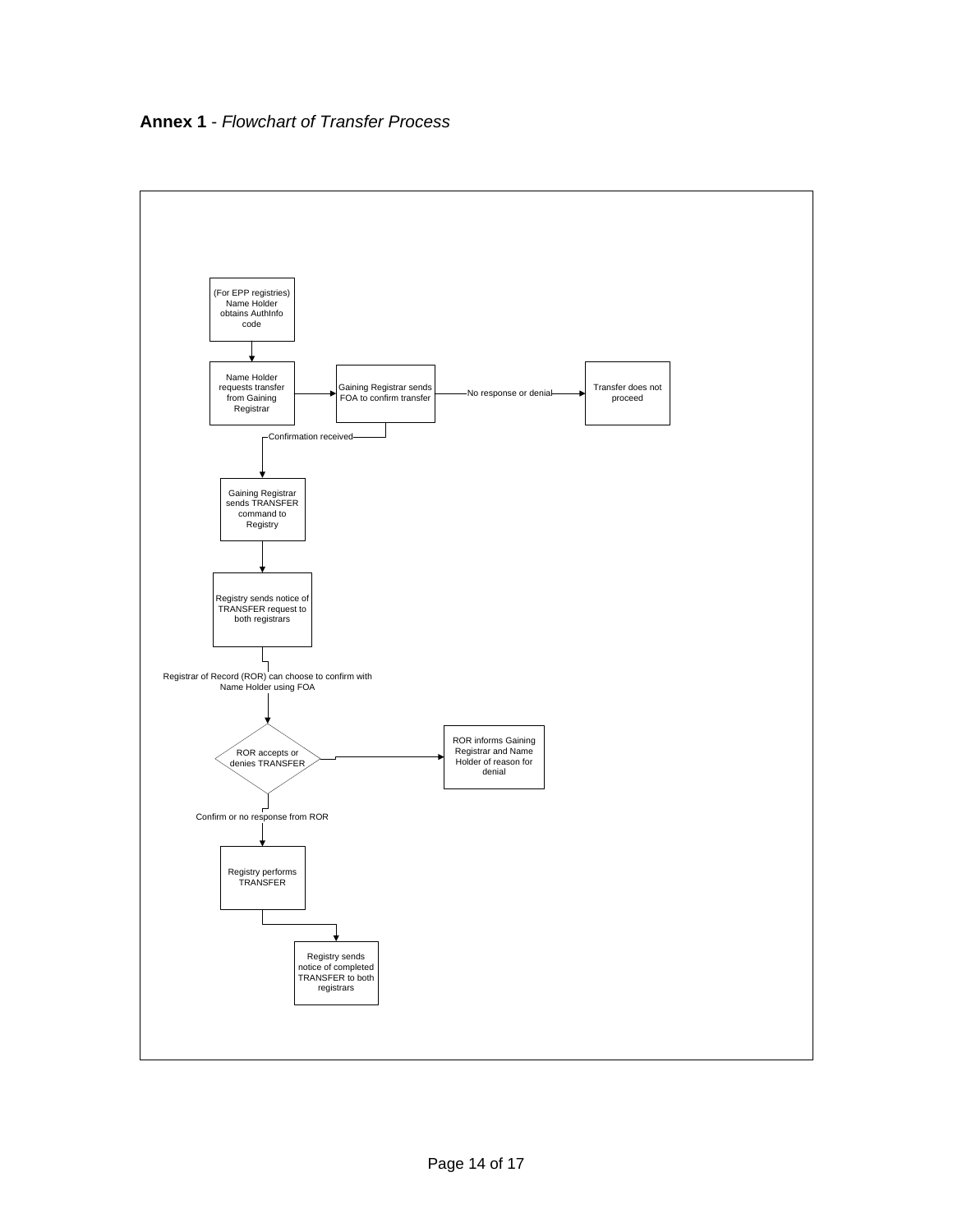**Annex 1** - *Flowchart of Transfer Process* 

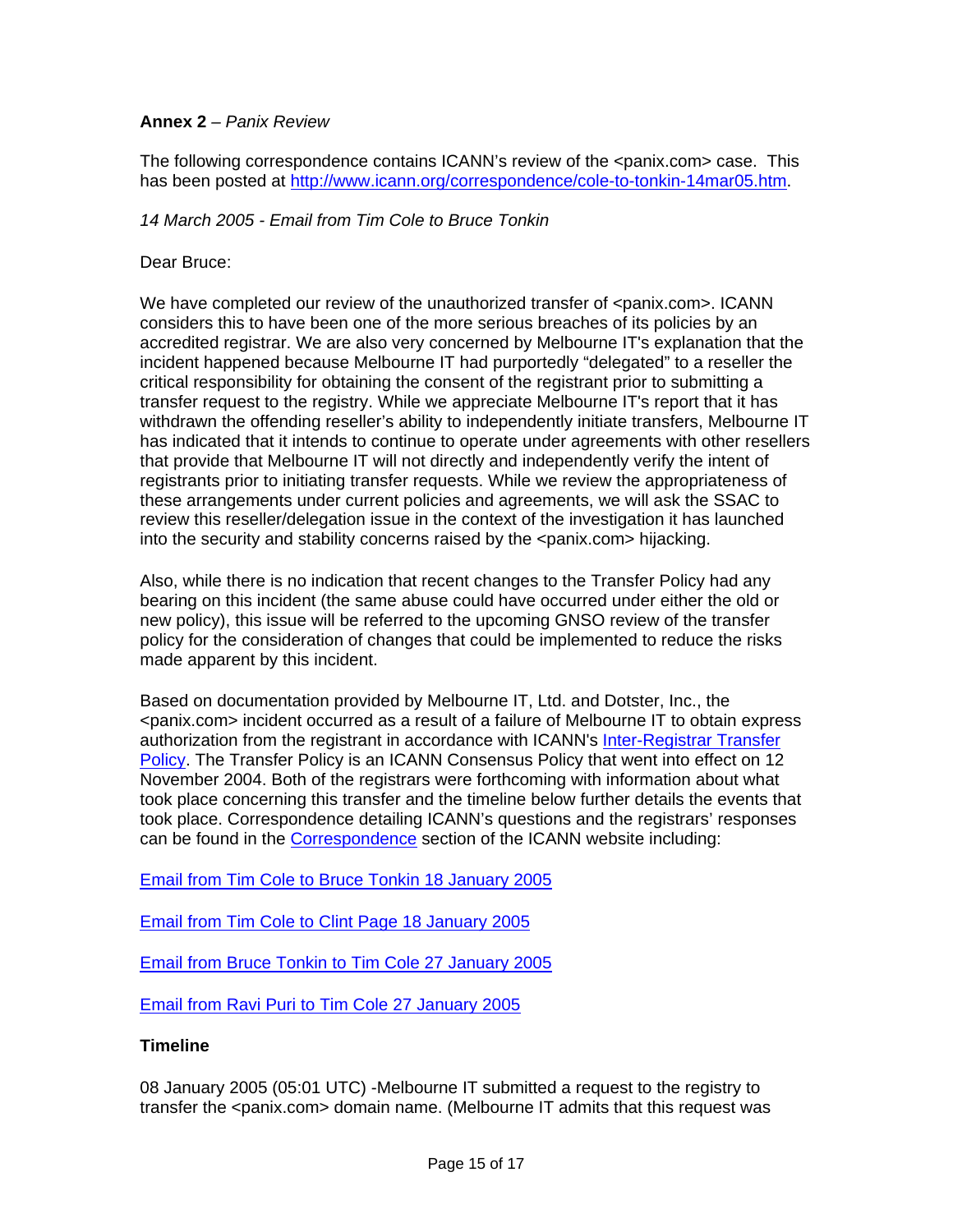### **Annex 2** *– Panix Review*

The following correspondence contains ICANN's review of the <panix.com> case. This has been posted at http://www.icann.org/correspondence/cole-to-tonkin-14mar05.htm.

*14 March 2005 - Email from Tim Cole to Bruce Tonkin* 

Dear Bruce:

We have completed our review of the unauthorized transfer of <panix.com>. ICANN considers this to have been one of the more serious breaches of its policies by an accredited registrar. We are also very concerned by Melbourne IT's explanation that the incident happened because Melbourne IT had purportedly "delegated" to a reseller the critical responsibility for obtaining the consent of the registrant prior to submitting a transfer request to the registry. While we appreciate Melbourne IT's report that it has withdrawn the offending reseller's ability to independently initiate transfers, Melbourne IT has indicated that it intends to continue to operate under agreements with other resellers that provide that Melbourne IT will not directly and independently verify the intent of registrants prior to initiating transfer requests. While we review the appropriateness of these arrangements under current policies and agreements, we will ask the SSAC to review this reseller/delegation issue in the context of the investigation it has launched into the security and stability concerns raised by the <panix.com> hijacking.

Also, while there is no indication that recent changes to the Transfer Policy had any bearing on this incident (the same abuse could have occurred under either the old or new policy), this issue will be referred to the upcoming GNSO review of the transfer policy for the consideration of changes that could be implemented to reduce the risks made apparent by this incident.

Based on documentation provided by Melbourne IT, Ltd. and Dotster, Inc., the <panix.com> incident occurred as a result of a failure of Melbourne IT to obtain express authorization from the registrant in accordance with ICANN's Inter-Registrar Transfer Policy. The Transfer Policy is an ICANN Consensus Policy that went into effect on 12 November 2004. Both of the registrars were forthcoming with information about what took place concerning this transfer and the timeline below further details the events that took place. Correspondence detailing ICANN's questions and the registrars' responses can be found in the Correspondence section of the ICANN website including:

Email from Tim Cole to Bruce Tonkin 18 January 2005

Email from Tim Cole to Clint Page 18 January 2005

Email from Bruce Tonkin to Tim Cole 27 January 2005

Email from Ravi Puri to Tim Cole 27 January 2005

#### **Timeline**

08 January 2005 (05:01 UTC) -Melbourne IT submitted a request to the registry to transfer the <panix.com> domain name. (Melbourne IT admits that this request was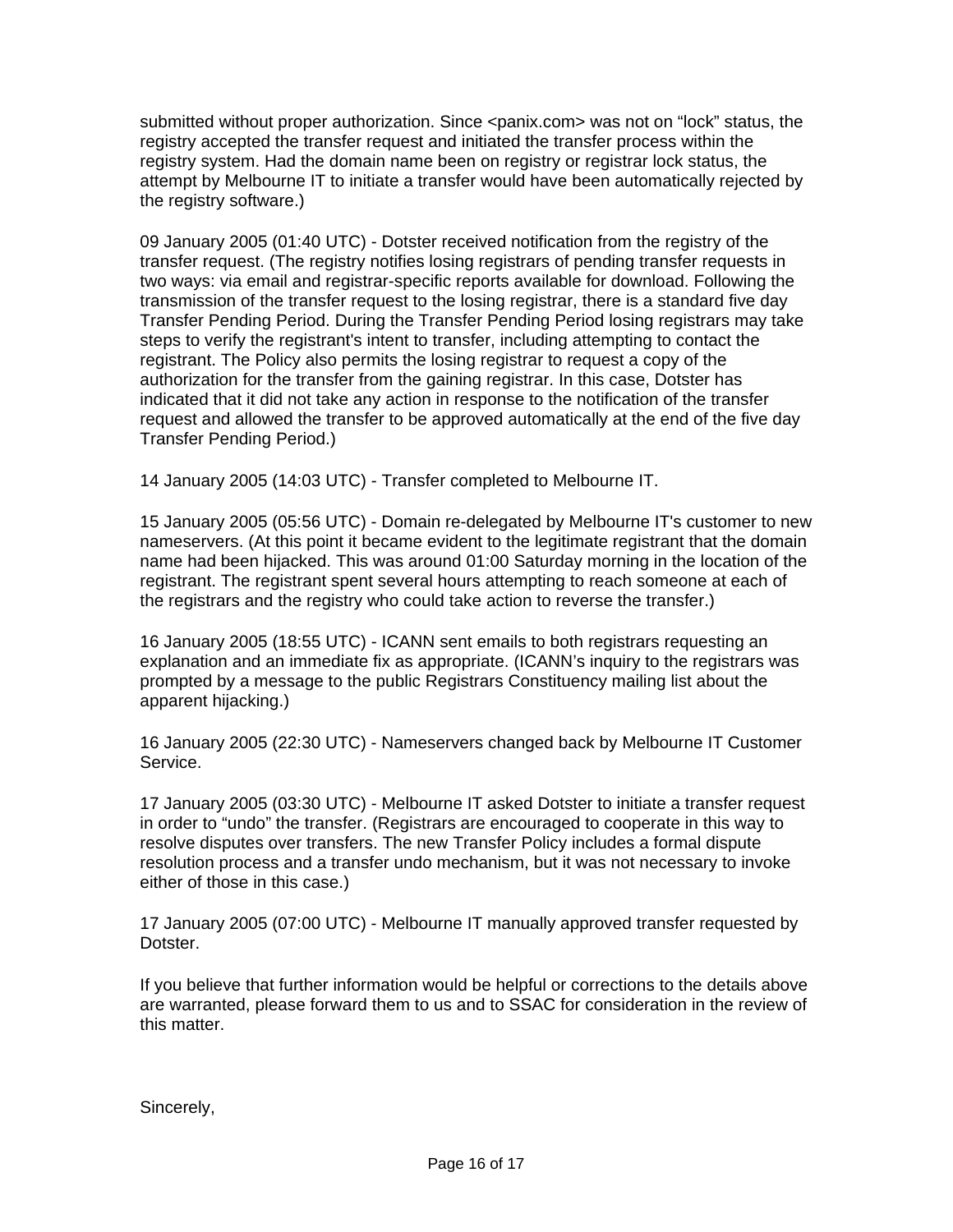submitted without proper authorization. Since <panix.com> was not on "lock" status, the registry accepted the transfer request and initiated the transfer process within the registry system. Had the domain name been on registry or registrar lock status, the attempt by Melbourne IT to initiate a transfer would have been automatically rejected by the registry software.)

09 January 2005 (01:40 UTC) - Dotster received notification from the registry of the transfer request. (The registry notifies losing registrars of pending transfer requests in two ways: via email and registrar-specific reports available for download. Following the transmission of the transfer request to the losing registrar, there is a standard five day Transfer Pending Period. During the Transfer Pending Period losing registrars may take steps to verify the registrant's intent to transfer, including attempting to contact the registrant. The Policy also permits the losing registrar to request a copy of the authorization for the transfer from the gaining registrar. In this case, Dotster has indicated that it did not take any action in response to the notification of the transfer request and allowed the transfer to be approved automatically at the end of the five day Transfer Pending Period.)

14 January 2005 (14:03 UTC) - Transfer completed to Melbourne IT.

15 January 2005 (05:56 UTC) - Domain re-delegated by Melbourne IT's customer to new nameservers. (At this point it became evident to the legitimate registrant that the domain name had been hijacked. This was around 01:00 Saturday morning in the location of the registrant. The registrant spent several hours attempting to reach someone at each of the registrars and the registry who could take action to reverse the transfer.)

16 January 2005 (18:55 UTC) - ICANN sent emails to both registrars requesting an explanation and an immediate fix as appropriate. (ICANN's inquiry to the registrars was prompted by a message to the public Registrars Constituency mailing list about the apparent hijacking.)

16 January 2005 (22:30 UTC) - Nameservers changed back by Melbourne IT Customer Service.

17 January 2005 (03:30 UTC) - Melbourne IT asked Dotster to initiate a transfer request in order to "undo" the transfer. (Registrars are encouraged to cooperate in this way to resolve disputes over transfers. The new Transfer Policy includes a formal dispute resolution process and a transfer undo mechanism, but it was not necessary to invoke either of those in this case.)

17 January 2005 (07:00 UTC) - Melbourne IT manually approved transfer requested by Dotster.

If you believe that further information would be helpful or corrections to the details above are warranted, please forward them to us and to SSAC for consideration in the review of this matter.

Sincerely,